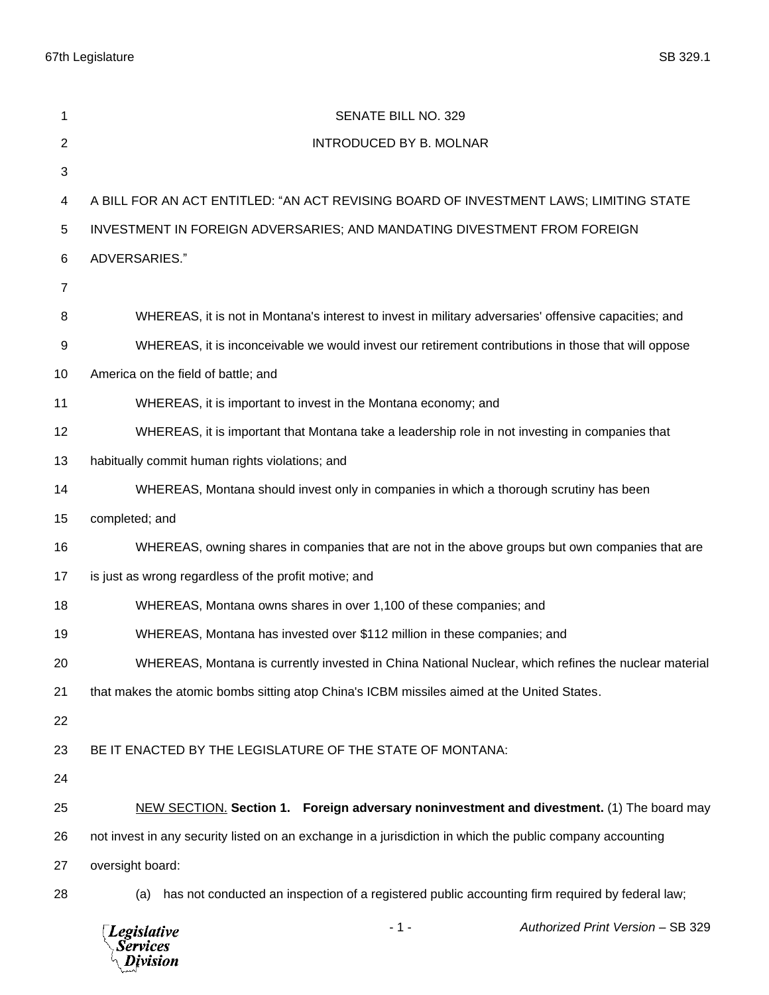67th Legislature SB 329.1

| 1              | SENATE BILL NO. 329                                                                                       |  |  |
|----------------|-----------------------------------------------------------------------------------------------------------|--|--|
| $\overline{2}$ | <b>INTRODUCED BY B. MOLNAR</b>                                                                            |  |  |
| 3              |                                                                                                           |  |  |
| 4              | A BILL FOR AN ACT ENTITLED: "AN ACT REVISING BOARD OF INVESTMENT LAWS; LIMITING STATE                     |  |  |
| 5              | INVESTMENT IN FOREIGN ADVERSARIES; AND MANDATING DIVESTMENT FROM FOREIGN                                  |  |  |
| 6              | ADVERSARIES."                                                                                             |  |  |
| $\overline{7}$ |                                                                                                           |  |  |
| 8              | WHEREAS, it is not in Montana's interest to invest in military adversaries' offensive capacities; and     |  |  |
| 9              | WHEREAS, it is inconceivable we would invest our retirement contributions in those that will oppose       |  |  |
| 10             | America on the field of battle; and                                                                       |  |  |
| 11             | WHEREAS, it is important to invest in the Montana economy; and                                            |  |  |
| 12             | WHEREAS, it is important that Montana take a leadership role in not investing in companies that           |  |  |
| 13             | habitually commit human rights violations; and                                                            |  |  |
| 14             | WHEREAS, Montana should invest only in companies in which a thorough scrutiny has been                    |  |  |
| 15             | completed; and                                                                                            |  |  |
| 16             | WHEREAS, owning shares in companies that are not in the above groups but own companies that are           |  |  |
| 17             | is just as wrong regardless of the profit motive; and                                                     |  |  |
| 18             | WHEREAS, Montana owns shares in over 1,100 of these companies; and                                        |  |  |
| 19             | WHEREAS, Montana has invested over \$112 million in these companies; and                                  |  |  |
| 20             | WHEREAS, Montana is currently invested in China National Nuclear, which refines the nuclear material      |  |  |
| 21             | that makes the atomic bombs sitting atop China's ICBM missiles aimed at the United States.                |  |  |
| 22             |                                                                                                           |  |  |
| 23             | BE IT ENACTED BY THE LEGISLATURE OF THE STATE OF MONTANA:                                                 |  |  |
| 24             |                                                                                                           |  |  |
| 25             | NEW SECTION. Section 1. Foreign adversary noninvestment and divestment. (1) The board may                 |  |  |
| 26             | not invest in any security listed on an exchange in a jurisdiction in which the public company accounting |  |  |
| 27             | oversight board:                                                                                          |  |  |
| 28             | has not conducted an inspection of a registered public accounting firm required by federal law;<br>(a)    |  |  |
|                | Authorized Print Version - SB 329<br>$-1-$<br><b>Legislative</b><br><b>Services</b><br>Division           |  |  |